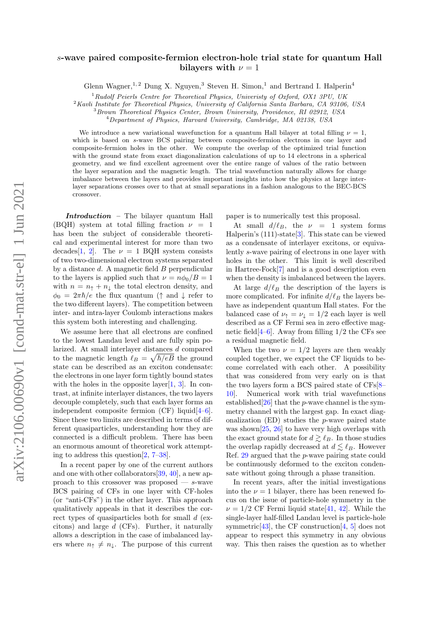# $arXiv:2106.00690v1$  [cond-mat.str-el] 1 Jun 2021 arXiv:2106.00690v1 [cond-mat.str-el] 1 Jun 2021

# s-wave paired composite-fermion electron-hole trial state for quantum Hall bilayers with  $\nu = 1$

Glenn Wagner,<sup>1, 2</sup> Dung X. Nguyen,<sup>3</sup> Steven H. Simon,<sup>1</sup> and Bertrand I. Halperin<sup>4</sup>

 $1$ Rudolf Peierls Centre for Theoretical Physics, Univeristy of Oxford, OX1 3PU, UK

<sup>2</sup>Kavli Institute for Theoretical Physics, University of California Santa Barbara, CA 93106, USA

<sup>3</sup>Brown Theoretical Physics Center, Brown University, Providence, RI 02912, USA

 $^{4}$ Department of Physics, Harvard University, Cambridge, MA 02138, USA

We introduce a new variational wavefunction for a quantum Hall bilayer at total filling  $\nu = 1$ . which is based on s-wave BCS pairing between composite-fermion electrons in one layer and composite-fermion holes in the other. We compute the overlap of the optimized trial function with the ground state from exact diagonalization calculations of up to 14 electrons in a spherical geometry, and we find excellent agreement over the entire range of values of the ratio between the layer separation and the magnetic length. The trial wavefunction naturally allows for charge imbalance between the layers and provides important insights into how the physics at large interlayer separations crosses over to that at small separations in a fashion analogous to the BEC-BCS crossover.

Introduction – The bilayer quantum Hall (BQH) system at total filling fraction  $\nu = 1$ has been the subject of considerable theoretical and experimental interest for more than two decades [\[1,](#page-4-0) [2\]](#page-4-1). The  $\nu = 1$  BQH system consists of two two-dimensional electron systems separated by a distance  $d$ . A magnetic field  $B$  perpendicular to the layers is applied such that  $\nu = n\phi_0/B = 1$ with  $n = n_1 + n_1$  the total electron density, and  $\phi_0 = 2\pi\hbar/e$  the flux quantum ( $\uparrow$  and  $\downarrow$  refer to the two different layers). The competition between inter- and intra-layer Coulomb interactions makes this system both interesting and challenging.

We assume here that all electrons are confined to the lowest Landau level and are fully spin polarized. At small interlayer distances d compared to the magnetic length  $\ell_B = \sqrt{\hbar/eB}$  the ground state can be described as an exciton condensate: the electrons in one layer form tightly bound states with the holes in the opposite layer $[1, 3]$  $[1, 3]$  $[1, 3]$ . In contrast, at infinite interlayer distances, the two layers decouple completely, such that each layer forms an independent composite fermion  $(CF)$  liquid[\[4–](#page-4-3)[6\]](#page-4-4). Since these two limits are described in terms of different quasiparticles, understanding how they are connected is a difficult problem. There has been an enormous amount of theoretical work attempting to address this question[\[2,](#page-4-1) [7–](#page-4-5)[38\]](#page-4-6).

In a recent paper by one of the current authors and one with other collaborators[\[39,](#page-4-7) [40\]](#page-4-8), a new approach to this crossover was proposed — s-wave BCS pairing of CFs in one layer with CF-holes (or "anti-CFs") in the other layer. This approach qualitatively appeals in that it describes the correct types of quasiparticles both for small  $d$  (excitons) and large d (CFs). Further, it naturally allows a description in the case of imbalanced layers where  $n_{\uparrow} \neq n_{\downarrow}$ . The purpose of this current

paper is to numerically test this proposal.

At small  $d/\ell_B$ , the  $\nu = 1$  system forms Halperin's  $(111)$ -state  $[3]$ . This state can be viewed as a condensate of interlayer excitons, or equivalently s-wave pairing of electrons in one layer with holes in the other. This limit is well described in Hartree-Fock[\[7\]](#page-4-5) and is a good description even when the density is imbalanced between the layers.

At large  $d/\ell_B$  the description of the layers is more complicated. For infinite  $d/\ell_B$  the layers behave as independent quantum Hall states. For the balanced case of  $\nu_{\uparrow} = \nu_{\downarrow} = 1/2$  each layer is well described as a CF Fermi sea in zero effective magnetic field  $[4-6]$  $[4-6]$ . Away from filling  $1/2$  the CFs see a residual magnetic field.

When the two  $\nu = 1/2$  layers are then weakly coupled together, we expect the CF liquids to become correlated with each other. A possibility that was considered from very early on is that the two layers form a BCS paired state of CFs[\[8–](#page-4-9) [10\]](#page-4-10). Numerical work with trial wavefunctions established $[26]$  that the *p*-wave channel is the symmetry channel with the largest gap. In exact diagonalization (ED) studies the p-wave paired state was shown $[25, 26]$  $[25, 26]$  $[25, 26]$  to have very high overlaps with the exact ground state for  $d \gtrsim \ell_B$ . In those studies the overlap rapidly decreased at  $d \lesssim \ell_B$ . However Ref. [29](#page-4-13) argued that the p-wave pairing state could be continuously deformed to the exciton condensate without going through a phase transition.

In recent years, after the initial investigations into the  $\nu = 1$  bilayer, there has been renewed focus on the issue of particle-hole symmetry in the  $\nu = 1/2$  CF Fermi liquid state [\[41,](#page-4-14) [42\]](#page-4-15). While the single-layer half-filled Landau level is particle-hole symmetric<sup>[\[43\]](#page-4-16)</sup>, the CF construction<sup>[\[4,](#page-4-3) [5\]](#page-4-17)</sup> does not appear to respect this symmetry in any obvious way. This then raises the question as to whether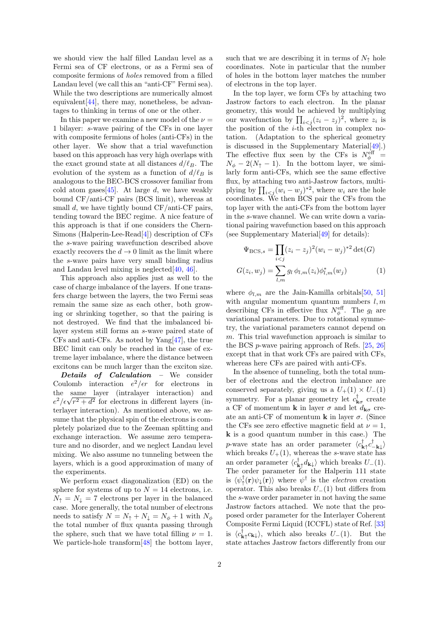we should view the half filled Landau level as a Fermi sea of CF electrons, or as a Fermi sea of composite fermions of holes removed from a filled Landau level (we call this an "anti-CF" Fermi sea). While the two descriptions are numerically almost equivalent[\[44\]](#page-4-18), there may, nonetheless, be advantages to thinking in terms of one or the other.

In this paper we examine a new model of the  $\nu =$ 1 bilayer: s-wave pairing of the CFs in one layer with composite fermions of holes (anti-CFs) in the other layer. We show that a trial wavefunction based on this approach has very high overlaps with the exact ground state at all distances  $d/\ell_B$ . The evolution of the system as a function of  $d/\ell_B$  is analogous to the BEC-BCS crossover familiar from cold atom gases [\[45\]](#page-4-19). At large d, we have weakly bound CF/anti-CF pairs (BCS limit), whereas at small d, we have tightly bound CF/anti-CF pairs, tending toward the BEC regime. A nice feature of this approach is that if one considers the Chern-Simons (Halperin-Lee-Read[\[4\]](#page-4-3)) description of CFs the s-wave pairing wavefunction described above exactly recovers the  $d \to 0$  limit as the limit where the s-wave pairs have very small binding radius and Landau level mixing is neglected $[40, 46]$  $[40, 46]$  $[40, 46]$ .

This approach also applies just as well to the case of charge imbalance of the layers. If one transfers charge between the layers, the two Fermi seas remain the same size as each other, both growing or shrinking together, so that the pairing is not destroyed. We find that the imbalanced bilayer system still forms an s-wave paired state of CFs and anti-CFs. As noted by Yang[\[47\]](#page-5-1), the true BEC limit can only be reached in the case of extreme layer imbalance, where the distance between excitons can be much larger than the exciton size.

Details of Calculation - We consider Coulomb interaction  $e^2/\epsilon r$  for electrons in the same layer (intralayer interaction) and  $e^2/\epsilon\sqrt{r^2+d^2}$  for electrons in different layers (interlayer interaction). As mentioned above, we assume that the physical spin of the electrons is completely polarized due to the Zeeman splitting and exchange interaction. We assume zero temperature and no disorder, and we neglect Landau level mixing. We also assume no tunneling between the layers, which is a good approximation of many of the experiments.

We perform exact diagonalization (ED) on the sphere for systems of up to  $N = 14$  electrons, i.e.  $N_{\uparrow} = N_{\downarrow} = 7$  electrons per layer in the balanced case. More generally, the total number of electrons needs to satisfy  $N = N_{\uparrow} + N_{\downarrow} = N_{\phi} + 1$  with  $N_{\phi}$ the total number of flux quanta passing through the sphere, such that we have total filling  $\nu = 1$ . We particle-hole transform [\[48\]](#page-5-2) the bottom layer,

such that we are describing it in terms of  $N_{\uparrow}$  hole coordinates. Note in particular that the number of holes in the bottom layer matches the number of electrons in the top layer.

In the top layer, we form CFs by attaching two Jastrow factors to each electron. In the planar geometry, this would be achieved by multiplying our wavefunction by  $\prod_{i < j} (z_i - z_j)^2$ , where  $z_i$  is the position of the i-th electron in complex notation. (Adaptation to the spherical geometry is discussed in the Supplementary Material[\[49\]](#page-5-3).) The effective flux seen by the CFs is  $N_{\phi}^{\text{eff}}$  =  $N_{\phi} - 2(N_{\uparrow} - 1)$ . In the bottom layer, we similarly form anti-CFs, which see the same effective flux, by attaching two anti-Jastrow factors, multiplying by  $\prod_{i < j} (w_i - w_j)^{*2}$ , where  $w_i$  are the hole coordinates. We then BCS pair the CFs from the top layer with the anti-CFs from the bottom layer in the s-wave channel. We can write down a variational pairing wavefunction based on this approach (see Supplementary Material[\[49\]](#page-5-3) for details):

<span id="page-1-0"></span>
$$
\Psi_{\text{BCS},s} = \prod_{i < j} (z_i - z_j)^2 (w_i - w_j)^{*2} \det(G)
$$
\n
$$
G(z_i, w_j) = \sum_{l,m} g_l \, \phi_{l,m}(z_i) \phi_{l,m}^*(w_j) \tag{1}
$$

where  $\phi_{l,m}$  are the Jain-Kamilla orbitals [\[50,](#page-5-4) [51\]](#page-5-5) with angular momentum quantum numbers  $l, m$ describing CFs in effective flux  $N_{\phi}^{\text{eff}}$ . The  $g_l$  are variational parameters. Due to rotational symmetry, the variational parameters cannot depend on m. This trial wavefunction approach is similar to the BCS p-wave pairing approach of Refs. [\[25,](#page-4-12) [26\]](#page-4-11) except that in that work CFs are paired with CFs, whereas here CFs are paired with anti-CFs.

In the absence of tunneling, both the total number of electrons and the electron imbalance are conserved separately, giving us a  $U_{+}(1) \times U_{-}(1)$ symmetry. For a planar geometry let  $c^{\dagger}_{\mathbf{k}\sigma}$  create a CF of momentum **k** in layer  $\sigma$  and let  $d_{\mathbf{k}\sigma}$  create an anti-CF of momentum **k** in layer  $\sigma$ . (Since the CFs see zero effective magnetic field at  $\nu = 1$ , k is a good quantum number in this case.) The *p*-wave state has an order parameter  $\langle c_{\mathbf{k}\uparrow}^{\dagger} c_{-\mathbf{k}\downarrow}^{\dagger} \rangle$ which breaks  $U_+(1)$ , whereas the s-wave state has an order parameter  $\langle c_{\mathbf{k}\uparrow}^{\dagger} d_{\mathbf{k}\downarrow} \rangle$  which breaks  $U_{-}(1)$ . The order parameter for the Halperin 111 state is  $\langle \psi_{\uparrow}^{\dagger}(\mathbf{r}) \psi_{\downarrow}(\mathbf{r}) \rangle$  where  $\psi^{\dagger}$  is the *electron* creation operator. This also breaks  $U_-(1)$  but differs from the s-wave order parameter in not having the same Jastrow factors attached. We note that the proposed order parameter for the Interlayer Coherent Composite Fermi Liquid (ICCFL) state of Ref. [\[33\]](#page-4-20) is  $\langle c_{\mathbf{k}\uparrow}^{\dagger} c_{\mathbf{k}\downarrow} \rangle$ , which also breaks  $U_{-}(1)$ . But the state attaches Jastrow factors differently from our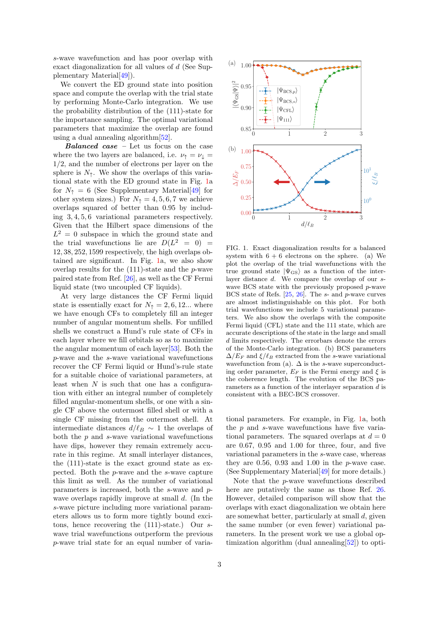s-wave wavefunction and has poor overlap with exact diagonalization for all values of d (See Supplementary Material[\[49\]](#page-5-3)).

We convert the ED ground state into position space and compute the overlap with the trial state by performing Monte-Carlo integration. We use the probability distribution of the (111)-state for the importance sampling. The optimal variational parameters that maximize the overlap are found using a dual annealing algorithm[\[52\]](#page-5-6).

Balanced case – Let us focus on the case where the two layers are balanced, i.e.  $\nu_{\uparrow} = \nu_{\downarrow} =$ 1/2, and the number of electrons per layer on the sphere is  $N_{\uparrow}$ . We show the overlaps of this variational state with the ED ground state in Fig. [1a](#page-2-0) for  $N_{\uparrow} = 6$  (See Supplementary Material [\[49\]](#page-5-3) for other system sizes.) For  $N<sub>†</sub> = 4, 5, 6, 7$  we achieve overlaps squared of better than 0.95 by including 3, 4, 5, 6 variational parameters respectively. Given that the Hilbert space dimensions of the  $L^2 = 0$  subspace in which the ground state and the trial wavefunctions lie are  $D(L^2 = 0)$ 12, 38, 252, 1599 respectively, the high overlaps obtained are significant. In Fig. [1a](#page-2-0), we also show overlap results for the  $(111)$ -state and the *p*-wave paired state from Ref. [\[26\]](#page-4-11), as well as the CF Fermi liquid state (two uncoupled CF liquids).

At very large distances the CF Fermi liquid state is essentially exact for  $N<sub>†</sub> = 2, 6, 12...$  where we have enough CFs to completely fill an integer number of angular momentum shells. For unfilled shells we construct a Hund's rule state of CFs in each layer where we fill orbitals so as to maximize the angular momentum of each layer[\[53\]](#page-5-7). Both the p-wave and the s-wave variational wavefunctions recover the CF Fermi liquid or Hund's-rule state for a suitable choice of variational parameters, at least when  $N$  is such that one has a configuration with either an integral number of completely filled angular-momentum shells, or one with a single CF above the outermost filled shell or with a single CF missing from the outermost shell. At intermediate distances  $d/\ell_B \sim 1$  the overlaps of both the  $p$  and  $s$ -wave variational wavefunctions have dips, however they remain extremely accurate in this regime. At small interlayer distances, the (111)-state is the exact ground state as expected. Both the p-wave and the s-wave capture this limit as well. As the number of variational parameters is increased, both the s-wave and pwave overlaps rapidly improve at small d. (In the s-wave picture including more variational parameters allows us to form more tightly bound excitons, hence recovering the (111)-state.) Our swave trial wavefunctions outperform the previous p-wave trial state for an equal number of varia-



<span id="page-2-0"></span>FIG. 1. Exact diagonalization results for a balanced system with  $6 + 6$  electrons on the sphere. (a) We plot the overlap of the trial wavefunctions with the true ground state  $|\Psi_{\rm GS}\rangle$  as a function of the interlayer distance d. We compare the overlap of our swave BCS state with the previously proposed p-wave BCS state of Refs.  $[25, 26]$  $[25, 26]$  $[25, 26]$ . The s- and p-wave curves are almost indistinguishable on this plot. For both trial wavefunctions we include 5 variational parameters. We also show the overlaps with the composite Fermi liquid (CFL) state and the 111 state, which are accurate descriptions of the state in the large and small d limits respectively. The errorbars denote the errors of the Monte-Carlo integration. (b) BCS parameters  $\Delta/E_F$  and  $\xi/\ell_B$  extracted from the s-wave variational wavefunction from (a).  $\Delta$  is the s-wave superconducting order parameter,  $E_F$  is the Fermi energy and  $\xi$  is the coherence length. The evolution of the BCS parameters as a function of the interlayer separation d is consistent with a BEC-BCS crossover.

tional parameters. For example, in Fig. [1a](#page-2-0), both the p and s-wave wavefunctions have five variational parameters. The squared overlaps at  $d = 0$ are 0.67, 0.95 and 1.00 for three, four, and five variational parameters in the s-wave case, whereas they are  $0.56$ ,  $0.93$  and  $1.00$  in the  $p$ -wave case. (See Supplementary Material[\[49\]](#page-5-3) for more details.)

Note that the p-wave wavefunctions described here are putatively the same as those Ref. [26.](#page-4-11) However, detailed comparison will show that the overlaps with exact diagonalization we obtain here are somewhat better, particularly at small  $d$ , given the same number (or even fewer) variational parameters. In the present work we use a global optimization algorithm (dual annealing[\[52\]](#page-5-6)) to opti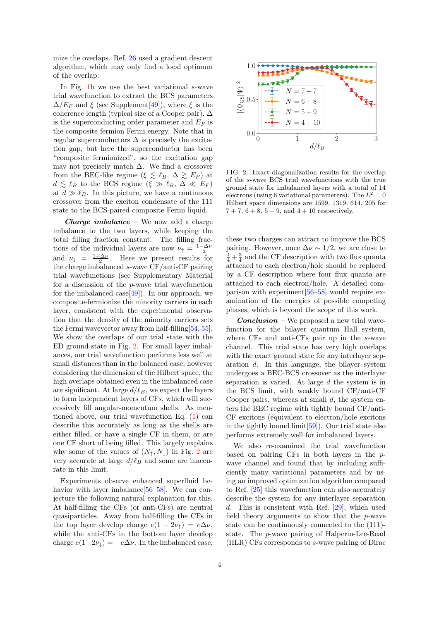mize the overlaps. Ref. [26](#page-4-11) used a gradient descent algorithm, which may only find a local optimum of the overlap.

In Fig. [1b](#page-2-0) we use the best variational  $s$ -wave trial wavefunction to extract the BCS parameters  $\Delta/E_F$  and  $\xi$  (see Supplement[\[49\]](#page-5-3)), where  $\xi$  is the coherence length (typical size of a Cooper pair),  $\Delta$ is the superconducting order parameter and  $E_F$  is the composite fermion Fermi energy. Note that in regular superconductors  $\Delta$  is precisely the excitation gap, but here the superconductor has been "composite fermionized", so the excitation gap may not precisely match  $\Delta$ . We find a crossover from the BEC-like regime ( $\xi \lesssim \ell_B, \Delta \gtrsim E_F$ ) at  $d \lesssim \ell_B$  to the BCS regime  $(\xi \gg \ell_B, \Delta \ll E_F)$ at  $d \gg \ell_B$ . In this picture, we have a continuous crossover from the exciton condensate of the 111 state to the BCS-paired composite Fermi liquid.

**Charge imbalance** – We now add a charge imbalance to the two layers, while keeping the total filling fraction constant. The filling fractions of the individual layers are now  $\nu_{\uparrow} = \frac{1-\Delta\nu}{2}$ and  $\nu_{\downarrow} = \frac{1+\Delta\nu}{2}$ . Here we present results for the charge imbalanced s-wave CF/anti-CF pairing trial wavefunctions (see Supplementary Material for a discussion of the p-wave trial wavefunction for the imbalanced case  $[49]$ . In our approach, we composite-fermionize the minority carriers in each layer, consistent with the experimental observation that the density of the minority carriers sets the Fermi wavevector away from half-filling[\[54,](#page-5-8) [55\]](#page-5-9). We show the overlaps of our trial state with the ED ground state in Fig. [2.](#page-3-0) For small layer imbalances, our trial wavefunction performs less well at small distances than in the balanced case, however considering the dimension of the Hilbert space, the high overlaps obtained even in the imbalanced case are significant. At large  $d/\ell_B$ , we expect the layers to form independent layers of CFs, which will successively fill angular-momentum shells. As mentioned above, our trial wavefunction Eq. [\(1\)](#page-1-0) can describe this accurately as long as the shells are either filled, or have a single CF in them, or are one CF short of being filled. This largely explains why some of the values of  $(N_{\uparrow}, N_{\downarrow})$  in Fig. [2](#page-3-0) are very accurate at large  $d/\ell_B$  and some are inaccurate in this limit.

Experiments observe enhanced superfluid behavior with layer imbalance  $[56-58]$  $[56-58]$ . We can conjecture the following natural explanation for this. At half-filling the CFs (or anti-CFs) are neutral quasiparticles. Away from half-filling the CFs in the top layer develop charge  $e(1 - 2\nu_{\uparrow}) = e\Delta \nu$ , while the anti-CFs in the bottom layer develop charge  $e(1-2\nu_{\downarrow}) = -e\Delta\nu$ . In the imbalanced case,



<span id="page-3-0"></span>FIG. 2. Exact diagonalization results for the overlap of the s-wave BCS trial wavefunctions with the true ground state for imbalanced layers with a total of 14 electrons (using 6 variational parameters). The  $L^2 = 0$ Hilbert space dimensions are 1599, 1319, 614, 205 for  $7 + 7$ ,  $6 + 8$ ,  $5 + 9$ , and  $4 + 10$  respectively.

these two charges can attract to improve the BCS pairing. However, once  $\Delta \nu \sim 1/2$ , we are close to  $\frac{1}{4} + \frac{3}{4}$  and the CF description with two flux quanta attached to each electron/hole should be replaced by a CF description where four flux quanta are attached to each electron/hole. A detailed comparison with experiment[\[56–](#page-5-10)[58\]](#page-5-11) would require examination of the energies of possible competing phases, which is beyond the scope of this work.

**Conclusion** – We proposed a new trial wavefunction for the bilayer quantum Hall system, where CFs and anti-CFs pair up in the s-wave channel. This trial state has very high overlaps with the exact ground state for any interlayer separation d. In this language, the bilayer system undergoes a BEC-BCS crossover as the interlayer separation is varied. At large d the system is in the BCS limit, with weakly bound CF/anti-CF Cooper pairs, whereas at small  $d$ , the system enters the BEC regime with tightly bound CF/anti-CF excitons (equivalent to electron/hole excitons in the tightly bound limit[\[59\]](#page-5-12)). Our trial state also performs extremely well for imbalanced layers.

We also re-examined the trial wavefunction based on pairing CFs in both layers in the pwave channel and found that by including sufficiently many variational parameters and by using an improved optimization algorithm compared to Ref. [\[25\]](#page-4-12) this wavefunction can also accurately describe the system for any interlayer separation d. This is consistent with Ref. [\[29\]](#page-4-13), which used field theory arguments to show that the p-wave state can be continuously connected to the (111) state. The p-wave pairing of Halperin-Lee-Read (HLR) CFs corresponds to s-wave pairing of Dirac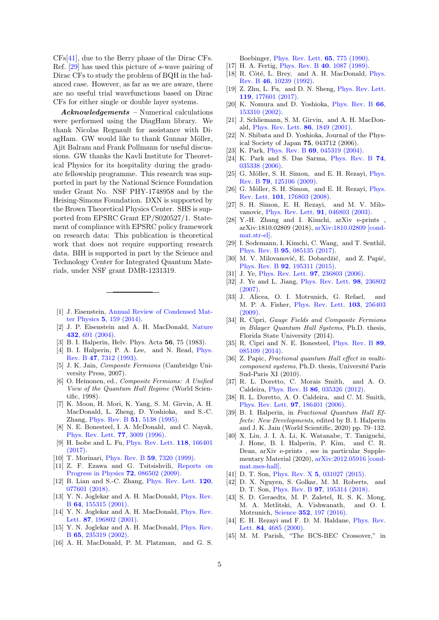CFs[\[41\]](#page-4-14), due to the Berry phase of the Dirac CFs. Ref. [\[29\]](#page-4-13) has used this picture of s-wave pairing of Dirac CFs to study the problem of BQH in the balanced case. However, as far as we are aware, there are no useful trial wavefunctions based on Dirac CFs for either single or double layer systems.

Acknowledgements – Numerical calculations were performed using the DiagHam library. We thank Nicolas Regnault for assistance with DiagHam. GW would like to thank Gunnar Möller, Ajit Balram and Frank Pollmann for useful discussions. GW thanks the Kavli Institute for Theoretical Physics for its hospitality during the graduate fellowship programme. This research was supported in part by the National Science Foundation under Grant No. NSF PHY-1748958 and by the Heising-Simons Foundation. DXN is supported by the Brown Theoretical Physics Center. SHS is supported from EPSRC Grant EP/S020527/1. Statement of compliance with EPSRC policy framework on research data: This publication is theoretical work that does not require supporting research data. BIH is supported in part by the Science and Technology Center for Integrated Quantum Materials, under NSF grant DMR-1231319.

- <span id="page-4-0"></span>[1] J. Eisenstein, [Annual Review of Condensed Mat](http://dx.doi.org/10.1146/annurev-conmatphys-031113-133832)ter Physics 5[, 159 \(2014\).](http://dx.doi.org/10.1146/annurev-conmatphys-031113-133832)
- <span id="page-4-1"></span>[2] J. P. Eisenstein and A. H. MacDonald, [Nature](http://dx.doi.org/10.1038/nature03081) 432[, 691 \(2004\).](http://dx.doi.org/10.1038/nature03081)
- <span id="page-4-2"></span>[3] B. I. Halperin, Helv. Phys. Acta 56, 75 (1983).
- <span id="page-4-3"></span>[4] B. I. Halperin, P. A. Lee, and N. Read, [Phys.](http://dx.doi.org/10.1103/PhysRevB.47.7312) Rev. B 47[, 7312 \(1993\).](http://dx.doi.org/10.1103/PhysRevB.47.7312)
- <span id="page-4-17"></span>[5] J. K. Jain, Composite Fermions (Cambridge University Press, 2007).
- <span id="page-4-4"></span>[6] O. Heinonen, ed., Composite Fermions: A Unified View of the Quantum Hall Regime (World Scientific, 1998).
- <span id="page-4-5"></span>[7] K. Moon, H. Mori, K. Yang, S. M. Girvin, A. H. MacDonald, L. Zheng, D. Yoshioka, and S.-C. Zhang, Phys. Rev. B 51[, 5138 \(1995\).](http://dx.doi.org/10.1103/PhysRevB.51.5138)
- <span id="page-4-9"></span>[8] N. E. Bonesteel, I. A. McDonald, and C. Nayak, [Phys. Rev. Lett.](http://dx.doi.org/10.1103/PhysRevLett.77.3009) 77, 3009 (1996).
- [9] H. Isobe and L. Fu, [Phys. Rev. Lett.](http://dx.doi.org/10.1103/PhysRevLett.118.166401) 118, 166401 [\(2017\).](http://dx.doi.org/10.1103/PhysRevLett.118.166401)
- <span id="page-4-10"></span>[10] T. Morinari, Phys. Rev. B 59[, 7320 \(1999\).](http://dx.doi.org/10.1103/PhysRevB.59.7320)
- [11] Z. F. Ezawa and G. Tsitsishvili, [Reports on](http://dx.doi.org/10.1088/0034-4885/72/8/086502) [Progress in Physics](http://dx.doi.org/10.1088/0034-4885/72/8/086502) **72**, 086502 (2009).
- <span id="page-4-21"></span>[12] B. Lian and S.-C. Zhang, [Phys. Rev. Lett.](http://dx.doi.org/10.1103/PhysRevLett.120.077601) 120, [077601 \(2018\).](http://dx.doi.org/10.1103/PhysRevLett.120.077601)
- [13] Y. N. Joglekar and A. H. MacDonald, [Phys. Rev.](http://dx.doi.org/10.1103/PhysRevB.64.155315) B 64[, 155315 \(2001\).](http://dx.doi.org/10.1103/PhysRevB.64.155315)
- [14] Y. N. Joglekar and A. H. MacDonald, [Phys. Rev.](http://dx.doi.org/10.1103/PhysRevLett.87.196802) Lett. **87**[, 196802 \(2001\).](http://dx.doi.org/10.1103/PhysRevLett.87.196802)
- [15] Y. N. Joglekar and A. H. MacDonald, [Phys. Rev.](http://dx.doi.org/10.1103/PhysRevB.65.235319) B 65[, 235319 \(2002\).](http://dx.doi.org/10.1103/PhysRevB.65.235319)
- [16] A. H. MacDonald, P. M. Platzman, and G. S.

Boebinger, [Phys. Rev. Lett.](http://dx.doi.org/10.1103/PhysRevLett.65.775) 65, 775 (1990).

- [17] H. A. Fertig, *Phys. Rev. B* 40[, 1087 \(1989\).](http://dx.doi.org/10.1103/PhysRevB.40.1087)
- [18] R. Côté, L. Brey, and A. H. MacDonald, *[Phys.](http://dx.doi.org/10.1103/PhysRevB.46.10239)* Rev. B 46[, 10239 \(1992\).](http://dx.doi.org/10.1103/PhysRevB.46.10239)
- [19] Z. Zhu, L. Fu, and D. N. Sheng, [Phys. Rev. Lett.](http://dx.doi.org/10.1103/PhysRevLett.119.177601) 119[, 177601 \(2017\).](http://dx.doi.org/10.1103/PhysRevLett.119.177601)
- [20] K. Nomura and D. Yoshioka, [Phys. Rev. B](http://dx.doi.org/10.1103/PhysRevB.66.153310) 66, [153310 \(2002\).](http://dx.doi.org/10.1103/PhysRevB.66.153310)
- [21] J. Schliemann, S. M. Girvin, and A. H. MacDonald, [Phys. Rev. Lett.](http://dx.doi.org/10.1103/PhysRevLett.86.1849) 86, 1849 (2001).
- [22] N. Shibata and D. Yoshioka, Journal of the Physical Society of Japan 75, 043712 (2006).
- [23] K. Park, Phys. Rev. B **69**[, 045319 \(2004\).](http://dx.doi.org/10.1103/PhysRevB.69.045319)
- [24] K. Park and S. Das Sarma, [Phys. Rev. B](http://dx.doi.org/10.1103/PhysRevB.74.035338) 74, [035338 \(2006\).](http://dx.doi.org/10.1103/PhysRevB.74.035338)
- <span id="page-4-12"></span>[25] G. Möller, S. H. Simon, and E. H. Rezayi, *[Phys.](http://dx.doi.org/10.1103/PhysRevB.79.125106)* Rev. B 79[, 125106 \(2009\).](http://dx.doi.org/10.1103/PhysRevB.79.125106)
- <span id="page-4-11"></span>[26] G. Möller, S. H. Simon, and E. H. Rezayi, [Phys.](http://dx.doi.org/10.1103/PhysRevLett.101.176803) Rev. Lett. 101[, 176803 \(2008\).](http://dx.doi.org/10.1103/PhysRevLett.101.176803)
- [27] S. H. Simon, E. H. Rezayi, and M. V. Milovanovic, [Phys. Rev. Lett.](http://dx.doi.org/10.1103/PhysRevLett.91.046803) 91, 046803 (2003).
- [28] Y.-H. Zhang and I. Kimchi, arXiv e-prints arXiv:1810.02809 (2018), [arXiv:1810.02809 \[cond](http://arxiv.org/abs/1810.02809)[mat.str-el\].](http://arxiv.org/abs/1810.02809)
- <span id="page-4-13"></span>[29] I. Sodemann, I. Kimchi, C. Wang, and T. Senthil, Phys. Rev. B 95[, 085135 \(2017\).](http://dx.doi.org/ 10.1103/PhysRevB.95.085135)
- [30] M. V. Milovanović, E. Dobardžić, and Z. Papić, Phys. Rev. B 92[, 195311 \(2015\).](http://dx.doi.org/10.1103/PhysRevB.92.195311)
- [31] J. Ye, *[Phys. Rev. Lett.](http://dx.doi.org/10.1103/PhysRevLett.97.236803)* **97**, 236803 (2006).
- [32] J. Ye and L. Jiang, [Phys. Rev. Lett.](http://dx.doi.org/10.1103/PhysRevLett.98.236802) 98, 236802 [\(2007\).](http://dx.doi.org/10.1103/PhysRevLett.98.236802)
- <span id="page-4-20"></span>[33] J. Alicea, O. I. Motrunich, G. Refael, and M. P. A. Fisher, [Phys. Rev. Lett.](http://dx.doi.org/10.1103/PhysRevLett.103.256403) 103, 256403  $(2009)$
- [34] R. Cipri, Gauge Fields and Composite Fermions in Bilayer Quantum Hall Systems, Ph.D. thesis, Florida State University (2014).
- [35] R. Cipri and N. E. Bonesteel, [Phys. Rev. B](http://dx.doi.org/10.1103/PhysRevB.89.085109) 89, [085109 \(2014\).](http://dx.doi.org/10.1103/PhysRevB.89.085109)
- [36] Z. Papic, Fractional quantum Hall effect in multicomponent systems, Ph.D. thesis, Université Paris Sud-Paris XI (2010).
- [37] R. L. Doretto, C. Morais Smith, and A. O. Caldeira, Phys. Rev. B 86[, 035326 \(2012\).](http://dx.doi.org/10.1103/PhysRevB.86.035326)
- <span id="page-4-6"></span>[38] R. L. Doretto, A. O. Caldeira, and C. M. Smith, [Phys. Rev. Lett.](http://dx.doi.org/10.1103/PhysRevLett.97.186401) 97, 186401 (2006).
- <span id="page-4-7"></span>[39] B. I. Halperin, in Fractional Quantum Hall Effects: New Developments, edited by B. I. Halperin and J. K. Jain (World Scientific, 2020) pp. 79–132.
- <span id="page-4-8"></span>[40] X. Liu, J. I. A. Li, K. Watanabe, T. Taniguchi, J. Hone, B. I. Halperin, P. Kim, and C. R. Dean, arXiv e-prints , see in particular Supplementary Material (2020), [arXiv:2012.05916 \[cond](http://arxiv.org/abs/2012.05916)[mat.mes-hall\].](http://arxiv.org/abs/2012.05916)
- <span id="page-4-14"></span>[41] D. T. Son, *Phys. Rev. X* **5**[, 031027 \(2015\).](http://dx.doi.org/10.1103/PhysRevX.5.031027)
- <span id="page-4-15"></span>[42] D. X. Nguyen, S. Golkar, M. M. Roberts, and D. T. Son, Phys. Rev. B 97[, 195314 \(2018\).](http://dx.doi.org/10.1103/PhysRevB.97.195314)
- <span id="page-4-16"></span>[43] S. D. Geraedts, M. P. Zaletel, R. S. K. Mong, M. A. Metlitski, A. Vishwanath, and O. I. Motrunich, Science 352[, 197 \(2016\).](http://dx.doi.org/10.1126/science.aad4302)
- <span id="page-4-18"></span>[44] E. H. Rezayi and F. D. M. Haldane, [Phys. Rev.](http://dx.doi.org/10.1103/PhysRevLett.84.4685) Lett. **84**[, 4685 \(2000\).](http://dx.doi.org/10.1103/PhysRevLett.84.4685)
- <span id="page-4-19"></span>[45] M. M. Parish, "The BCS-BEC Crossover," in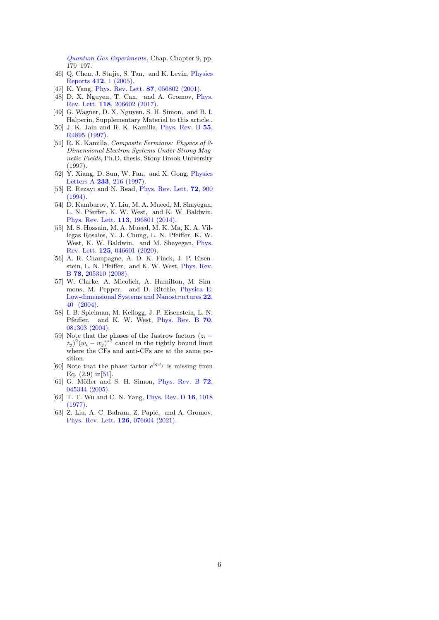[Quantum Gas Experiments](https://www.worldscientific.com/doi/abs/10.1142/9781783264766_0009), Chap. Chapter 9, pp. 179–197.

- <span id="page-5-0"></span>[46] Q. Chen, J. Stajic, S. Tan, and K. Levin, [Physics](http://dx.doi.org/ https://doi.org/10.1016/j.physrep.2005.02.005) Reports 412[, 1 \(2005\).](http://dx.doi.org/ https://doi.org/10.1016/j.physrep.2005.02.005)
- <span id="page-5-1"></span>[47] K. Yang, [Phys. Rev. Lett.](http://dx.doi.org/10.1103/PhysRevLett.87.056802) **87**, 056802 (2001).
- <span id="page-5-2"></span>[48] D. X. Nguyen, T. Can, and A. Gromov, [Phys.](http://dx.doi.org/10.1103/PhysRevLett.118.206602) Rev. Lett. 118[, 206602 \(2017\).](http://dx.doi.org/10.1103/PhysRevLett.118.206602)
- <span id="page-5-3"></span>[49] G. Wagner, D. X. Nguyen, S. H. Simon, and B. I. Halperin, Supplementary Material to this article..
- <span id="page-5-4"></span>[50] J. K. Jain and R. K. Kamilla, [Phys. Rev. B](http://dx.doi.org/10.1103/PhysRevB.55.R4895) 55, [R4895 \(1997\).](http://dx.doi.org/10.1103/PhysRevB.55.R4895)
- <span id="page-5-5"></span>[51] R. K. Kamilla, Composite Fermions: Physics of 2- Dimensional Electron Systems Under Strong Magnetic Fields, Ph.D. thesis, Stony Brook University (1997).
- <span id="page-5-6"></span>[52] Y. Xiang, D. Sun, W. Fan, and X. Gong, [Physics](http://dx.doi.org/ https://doi.org/10.1016/S0375-9601(97)00474-X) Letters A 233[, 216 \(1997\).](http://dx.doi.org/ https://doi.org/10.1016/S0375-9601(97)00474-X)
- <span id="page-5-7"></span>[53] E. Rezayi and N. Read, [Phys. Rev. Lett.](http://dx.doi.org/10.1103/PhysRevLett.72.900) 72, 900  $(1994)$ .
- <span id="page-5-8"></span>[54] D. Kamburov, Y. Liu, M. A. Mueed, M. Shayegan, L. N. Pfeiffer, K. W. West, and K. W. Baldwin, [Phys. Rev. Lett.](http://dx.doi.org/ 10.1103/PhysRevLett.113.196801) 113, 196801 (2014).
- <span id="page-5-9"></span>[55] M. S. Hossain, M. A. Mueed, M. K. Ma, K. A. Villegas Rosales, Y. J. Chung, L. N. Pfeiffer, K. W. West, K. W. Baldwin, and M. Shayegan, [Phys.](http://dx.doi.org/ 10.1103/PhysRevLett.125.046601) Rev. Lett. 125[, 046601 \(2020\).](http://dx.doi.org/ 10.1103/PhysRevLett.125.046601)
- <span id="page-5-10"></span>[56] A. R. Champagne, A. D. K. Finck, J. P. Eisenstein, L. N. Pfeiffer, and K. W. West, [Phys. Rev.](http://dx.doi.org/10.1103/PhysRevB.78.205310) B 78[, 205310 \(2008\).](http://dx.doi.org/10.1103/PhysRevB.78.205310)
- [57] W. Clarke, A. Micolich, A. Hamilton, M. Simmons, M. Pepper, and D. Ritchie, [Physica E:](http://dx.doi.org/ https://doi.org/10.1016/j.physe.2003.11.211) [Low-dimensional Systems and Nanostructures](http://dx.doi.org/ https://doi.org/10.1016/j.physe.2003.11.211) 22, [40 \(2004\).](http://dx.doi.org/ https://doi.org/10.1016/j.physe.2003.11.211)
- <span id="page-5-11"></span>[58] I. B. Spielman, M. Kellogg, J. P. Eisenstein, L. N. Pfeiffer, and K. W. West, [Phys. Rev. B](http://dx.doi.org/10.1103/PhysRevB.70.081303) 70, [081303 \(2004\).](http://dx.doi.org/10.1103/PhysRevB.70.081303)
- <span id="page-5-12"></span>[59] Note that the phases of the Jastrow factors  $(z_i (z_j)^2 (w_i - w_j)^{*2}$  cancel in the tightly bound limit where the CFs and anti-CFs are at the same position.
- <span id="page-5-13"></span>[60] Note that the phase factor  $e^{iq\varphi_j}$  is missing from Eq.  $(2.9)$  in  $[51]$ .
- <span id="page-5-14"></span>[61] G. Möller and S. H. Simon, [Phys. Rev. B](http://dx.doi.org/10.1103/PhysRevB.72.045344) 72, [045344 \(2005\).](http://dx.doi.org/10.1103/PhysRevB.72.045344)
- <span id="page-5-15"></span>[62] T. T. Wu and C. N. Yang, [Phys. Rev. D](http://dx.doi.org/10.1103/PhysRevD.16.1018) 16, 1018 [\(1977\).](http://dx.doi.org/10.1103/PhysRevD.16.1018)
- <span id="page-5-16"></span>[63] Z. Liu, A. C. Balram, Z. Papić, and A. Gromov, [Phys. Rev. Lett.](http://dx.doi.org/ 10.1103/PhysRevLett.126.076604) 126, 076604 (2021).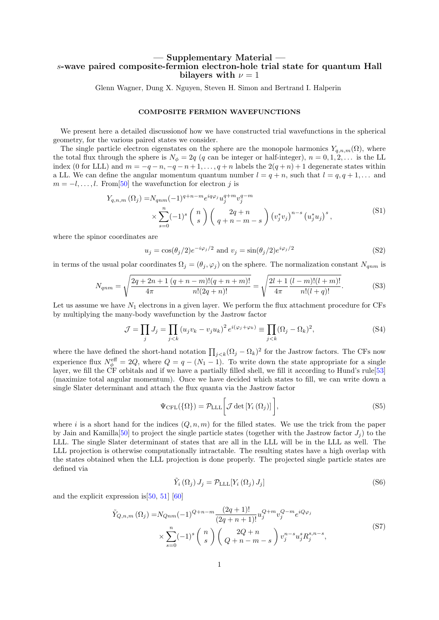# — Supplementary Material s-wave paired composite-fermion electron-hole trial state for quantum Hall bilayers with  $\nu = 1$

Glenn Wagner, Dung X. Nguyen, Steven H. Simon and Bertrand I. Halperin

# COMPOSITE FERMION WAVEFUNCTIONS

We present here a detailed discussionof how we have constructed trial wavefunctions in the spherical geometry, for the various paired states we consider.

The single particle electron eigenstates on the sphere are the monopole harmonics  $Y_{q,n,m}(\Omega)$ , where the total flux through the sphere is  $N_{\phi} = 2q$  (q can be integer or half-integer),  $n = 0, 1, 2, \ldots$  is the LL index (0 for LLL) and  $m = -q - n, -q - n + 1, \ldots, q + n$  labels the  $2(q + n) + 1$  degenerate states within a LL. We can define the angular momentum quantum number  $l = q + n$ , such that  $l = q, q + 1, \ldots$  and  $m = -l, \ldots, l$ . From [\[50\]](#page-5-4) the wavefunction for electron j is

$$
Y_{q,n,m}(\Omega_j) = N_{qnm}(-1)^{q+n-m} e^{iq\varphi_j} u_j^{q+m} v_j^{q-m}
$$
  
 
$$
\times \sum_{s=0}^n (-1)^s \binom{n}{s} \binom{2q+n}{q+n-m-s} (v_j^* v_j)^{n-s} (u_j^* u_j)^s,
$$
 (S1)

where the spinor coordinates are

$$
u_j = \cos(\theta_j/2)e^{-i\varphi_j/2} \text{ and } v_j = \sin(\theta_j/2)e^{i\varphi_j/2}
$$
\n(S2)

in terms of the usual polar coordinates  $\Omega_j = (\theta_j, \varphi_j)$  on the sphere. The normalization constant  $N_{qnm}$  is

$$
N_{qnm} = \sqrt{\frac{2q + 2n + 1}{4\pi} \frac{(q + n - m)!(q + n + m)!}{n!(2q + n)!}} = \sqrt{\frac{2l + 1}{4\pi} \frac{(l - m)!(l + m)!}{n!(l + q)!}}.
$$
(S3)

Let us assume we have  $N_1$  electrons in a given layer. We perform the flux attachment procedure for CFs by multiplying the many-body wavefunction by the Jastrow factor

$$
\mathcal{J} = \prod_j J_j = \prod_{j < k} \left( u_j v_k - v_j u_k \right)^2 e^{i(\varphi_j + \varphi_k)} \equiv \prod_{j < k} (\Omega_j - \Omega_k)^2,\tag{S4}
$$

where the have defined the short-hand notation  $\prod_{j < k} (\Omega_j - \Omega_k)^2$  for the Jastrow factors. The CFs now experience flux  $N_{\phi}^{\text{eff}} = 2Q$ , where  $Q = q - (N_1 - 1)$ . To write down the state appropriate for a single layer, we fill the CF orbitals and if we have a partially filled shell, we fill it according to Hund's rule[\[53\]](#page-5-7) (maximize total angular momentum). Once we have decided which states to fill, we can write down a single Slater determinant and attach the flux quanta via the Jastrow factor

$$
\Psi_{\text{CFL}}(\{\Omega\}) = \mathcal{P}_{\text{LLL}} \bigg[ \mathcal{J} \det \left[ Y_i \left( \Omega_j \right) \right] \bigg],\tag{S5}
$$

where i is a short hand for the indices  $(Q, n, m)$  for the filled states. We use the trick from the paper by Jain and Kamilla<sup>[\[50\]](#page-5-4)</sup> to project the single particle states (together with the Jastrow factor  $J_i$ ) to the LLL. The single Slater determinant of states that are all in the LLL will be in the LLL as well. The LLL projection is otherwise computationally intractable. The resulting states have a high overlap with the states obtained when the LLL projection is done properly. The projected single particle states are defined via

$$
\tilde{Y}_i(\Omega_j) J_j = \mathcal{P}_{\text{LLL}}[Y_i(\Omega_j) J_j] \tag{S6}
$$

and the explicit expression is[\[50,](#page-5-4) [51\]](#page-5-5) [\[60\]](#page-5-13)

$$
\tilde{Y}_{Q,n,m}(\Omega_j) = N_{Qnm}(-1)^{Q+n-m} \frac{(2q+1)!}{(2q+n+1)!} u_j^{Q+m} v_j^{Q-m} e^{iQ\varphi_j} \times \sum_{s=0}^n (-1)^s \binom{n}{s} \binom{2Q+n}{Q+n-m-s} v_j^{n-s} u_j^s R_j^{s,n-s},
$$
\n(S7)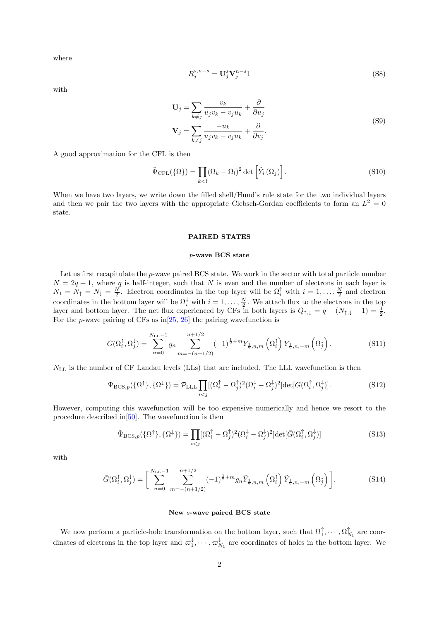where

$$
R_j^{s,n-s} = \mathbf{U}_j^s \mathbf{V}_j^{n-s} \mathbf{1}
$$
\n<sup>(S8)</sup>

with

$$
\mathbf{U}_{j} = \sum_{k \neq j} \frac{v_{k}}{u_{j}v_{k} - v_{j}u_{k}} + \frac{\partial}{\partial u_{j}}
$$
  

$$
\mathbf{V}_{j} = \sum_{k \neq j} \frac{-u_{k}}{u_{j}v_{k} - v_{j}u_{k}} + \frac{\partial}{\partial v_{j}}.
$$
 (S9)

A good approximation for the CFL is then

$$
\tilde{\Psi}_{\text{CFL}}(\{\Omega\}) = \prod_{k < l} (\Omega_k - \Omega_l)^2 \det \left[ \tilde{Y}_i \left( \Omega_j \right) \right]. \tag{S10}
$$

When we have two layers, we write down the filled shell/Hund's rule state for the two individual layers and then we pair the two layers with the appropriate Clebsch-Gordan coefficients to form an  $L^2 = 0$ state.

# PAIRED STATES

# p-wave BCS state

Let us first recapitulate the p-wave paired BCS state. We work in the sector with total particle number  $N = 2q + 1$ , where q is half-integer, such that N is even and the number of electrons in each layer is  $N_1 = N_\uparrow = N_\downarrow = \frac{N}{2}$ . Electron coordinates in the top layer will be  $\Omega_i^{\uparrow}$  with  $i = 1, \ldots, \frac{N}{2}$  and electron coordinates in the bottom layer will be  $\Omega_i^{\downarrow}$  with  $i = 1, \ldots, \frac{N}{2}$ . We attach flux to the electrons in the top layer and bottom layer. The net flux experienced by CFs in both layers is  $Q_{\uparrow,\downarrow} = q - (N_{\uparrow,\downarrow} - 1) = \frac{1}{2}$ . For the *p*-wave pairing of CFs as  $\text{in}[25, 26]$  $\text{in}[25, 26]$  $\text{in}[25, 26]$  $\text{in}[25, 26]$  the pairing wavefunction is

$$
G(\Omega_i^{\uparrow}, \Omega_j^{\downarrow}) = \sum_{n=0}^{N_{\rm LL}-1} g_n \sum_{m=-(n+1/2)}^{n+1/2} (-1)^{\frac{1}{2}+m} Y_{\frac{1}{2},n,m}(\Omega_i^{\uparrow}) Y_{\frac{1}{2},n,-m}(\Omega_j^{\downarrow}). \tag{S11}
$$

 $N_{\text{LL}}$  is the number of CF Landau levels (LLs) that are included. The LLL wavefunction is then

$$
\Psi_{\text{BCS},p}(\{\Omega^{\uparrow}\}, \{\Omega^{\downarrow}\}) = \mathcal{P}_{\text{LLL}} \prod_{i < j} [(\Omega_i^{\uparrow} - \Omega_j^{\uparrow})^2 (\Omega_i^{\downarrow} - \Omega_j^{\downarrow})^2] \text{det}[G(\Omega_i^{\uparrow}, \Omega_j^{\downarrow})]. \tag{S12}
$$

However, computing this wavefunction will be too expensive numerically and hence we resort to the procedure described in[\[50\]](#page-5-4). The wavefunction is then

$$
\tilde{\Psi}_{\text{BCS},p}(\{\Omega^{\uparrow}\}, \{\Omega^{\downarrow}\}) = \prod_{i < j} [(\Omega_i^{\uparrow} - \Omega_j^{\uparrow})^2 (\Omega_i^{\downarrow} - \Omega_j^{\downarrow})^2] \text{det}[\tilde{G}(\Omega_i^{\uparrow}, \Omega_j^{\downarrow})] \tag{S13}
$$

with

$$
\tilde{G}(\Omega_i^{\uparrow}, \Omega_j^{\downarrow}) = \left[ \sum_{n=0}^{N_{\text{LL}}-1} \sum_{m=-(n+1/2)}^{n+1/2} (-1)^{\frac{1}{2}+m} g_n \tilde{Y}_{\frac{1}{2},n,m} \left( \Omega_i^{\uparrow} \right) \tilde{Y}_{\frac{1}{2},n,-m} \left( \Omega_j^{\downarrow} \right) \right]. \tag{S14}
$$

### New s-wave paired BCS state

We now perform a particle-hole transformation on the bottom layer, such that  $\Omega_1^{\uparrow}, \cdots, \Omega_{N_1}^{\uparrow}$  are coordinates of electrons in the top layer and  $\varpi_1^{\downarrow}, \dots, \varpi_{N_1}^{\downarrow}$  are coordinates of holes in the bottom layer. We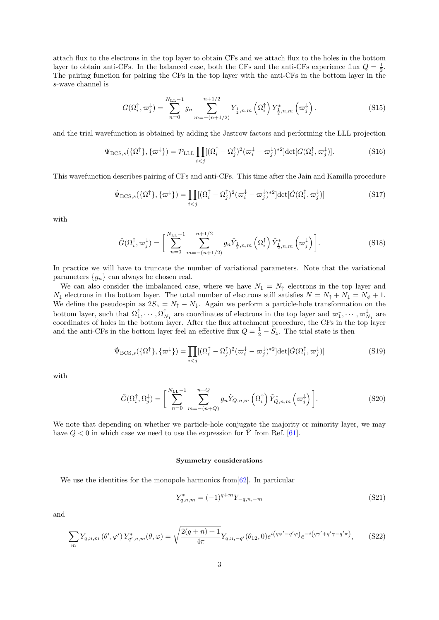attach flux to the electrons in the top layer to obtain CFs and we attach flux to the holes in the bottom layer to obtain anti-CFs. In the balanced case, both the CFs and the anti-CFs experience flux  $Q = \frac{1}{2}$ . The pairing function for pairing the CFs in the top layer with the anti-CFs in the bottom layer in the s-wave channel is

$$
G(\Omega_i^{\uparrow}, \varpi_j^{\downarrow}) = \sum_{n=0}^{N_{\text{LL}}-1} g_n \sum_{m=-(n+1/2)}^{n+1/2} Y_{\frac{1}{2},n,m} \left(\Omega_i^{\uparrow}\right) Y_{\frac{1}{2},n,m}^{*} \left(\varpi_j^{\downarrow}\right).
$$
 (S15)

and the trial wavefunction is obtained by adding the Jastrow factors and performing the LLL projection

$$
\Psi_{\text{BCS},s}(\{\Omega^{\uparrow}\}, \{\varpi^{\downarrow}\}) = \mathcal{P}_{\text{LLL}} \prod_{i < j} [(\Omega_i^{\uparrow} - \Omega_j^{\uparrow})^2 (\varpi_i^{\downarrow} - \varpi_j^{\downarrow})^{*2}] \text{det}[G(\Omega_i^{\uparrow}, \varpi_j^{\downarrow})]. \tag{S16}
$$

This wavefunction describes pairing of CFs and anti-CFs. This time after the Jain and Kamilla procedure

$$
\tilde{\Psi}_{\text{BCS},s}(\{\Omega^{\uparrow}\}, \{\varpi^{\downarrow}\}) = \prod_{i < j} [(\Omega_i^{\uparrow} - \Omega_j^{\uparrow})^2 (\varpi_i^{\downarrow} - \varpi_j^{\downarrow})^{*2}] \text{det}[\tilde{G}(\Omega_i^{\uparrow}, \varpi_j^{\downarrow})] \tag{S17}
$$

with

$$
\tilde{G}(\Omega_i^{\uparrow}, \varpi_j^{\downarrow}) = \left[ \sum_{n=0}^{N_{\text{LL}}-1} \sum_{m=-(n+1/2)}^{n+1/2} g_n \tilde{Y}_{\frac{1}{2},n,m} \left( \Omega_i^{\uparrow} \right) \tilde{Y}_{\frac{1}{2},n,m}^{*} \left( \varpi_j^{\downarrow} \right) \right]. \tag{S18}
$$

In practice we will have to truncate the number of variational parameters. Note that the variational parameters  ${g_n}$  can always be chosen real.

We can also consider the imbalanced case, where we have  $N_1 = N_{\uparrow}$  electrons in the top layer and  $N_{\downarrow}$  electrons in the bottom layer. The total number of electrons still satisfies  $N = N_{\uparrow} + N_{\downarrow} = N_{\phi} + 1$ . We define the pseudospin as  $2S_z = N_{\uparrow} - N_{\downarrow}$ . Again we perform a particle-hole transformation on the bottom layer, such that  $\Omega_1^{\uparrow}, \cdots, \Omega_{N_1}^{\uparrow}$  are coordinates of electrons in the top layer and  $\varpi_1^{\downarrow}, \cdots, \varpi_{N_1}^{\downarrow}$  are coordinates of holes in the bottom layer. After the flux attachment procedure, the CFs in the top layer and the anti-CFs in the bottom layer feel an effective flux  $Q = \frac{1}{2} - S_z$ . The trial state is then

$$
\tilde{\Psi}_{\text{BCS},s}(\{\Omega^{\uparrow}\}, \{\varpi^{\downarrow}\}) = \prod_{i < j} [(\Omega_i^{\uparrow} - \Omega_j^{\uparrow})^2 (\varpi_i^{\downarrow} - \varpi_j^{\downarrow})^{*2}] \text{det}[\tilde{G}(\Omega_i^{\uparrow}, \varpi_j^{\downarrow})] \tag{S19}
$$

with

$$
\tilde{G}(\Omega_i^{\uparrow}, \Omega_j^{\downarrow}) = \left[ \sum_{n=0}^{N_{\text{LL}}-1} \sum_{m=-(n+Q)}^{n+Q} g_n \tilde{Y}_{Q,n,m} \left( \Omega_i^{\uparrow} \right) \tilde{Y}_{Q,n,m}^* \left( \varpi_j^{\downarrow} \right) \right]. \tag{S20}
$$

We note that depending on whether we particle-hole conjugate the majority or minority layer, we may have  $Q < 0$  in which case we need to use the expression for  $\tilde{Y}$  from Ref. [\[61\]](#page-5-14).

### Symmetry considerations

We use the identities for the monopole harmonics from  $[62]$ . In particular

$$
Y_{q,n,m}^* = (-1)^{q+m} Y_{-q,n,-m}
$$
\n(S21)

and

<span id="page-8-0"></span>
$$
\sum_{m} Y_{q,n,m}(\theta',\varphi') Y_{q',n,m}^*(\theta,\varphi) = \sqrt{\frac{2(q+n)+1}{4\pi}} Y_{q,n,-q'}(\theta_{12},0) e^{i(q\varphi'-q'\varphi)} e^{-i(q\gamma'+q'\gamma-q'\pi)},\tag{S22}
$$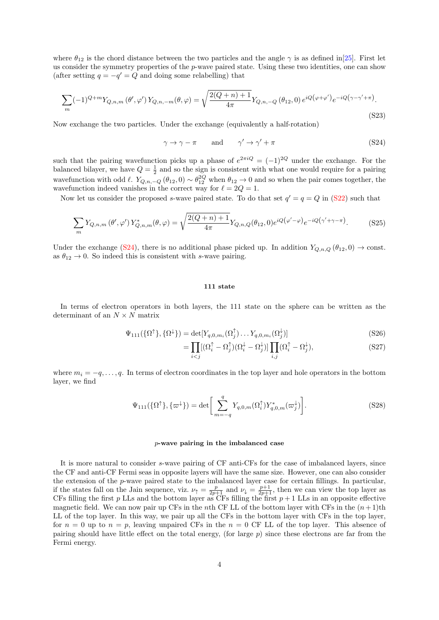where  $\theta_{12}$  is the chord distance between the two particles and the angle  $\gamma$  is as defined in[\[25\]](#page-4-12). First let us consider the symmetry properties of the p-wave paired state. Using these two identities, one can show (after setting  $q = -q' = Q$  and doing some relabelling) that

$$
\sum_{m} (-1)^{Q+m} Y_{Q,n,m}(\theta', \varphi') Y_{Q,n,-m}(\theta, \varphi) = \sqrt{\frac{2(Q+n)+1}{4\pi}} Y_{Q,n,-Q}(\theta_{12}, 0) e^{iQ(\varphi + \varphi')} e^{-iQ(\gamma - \gamma' + \pi)}.
$$
\n(S23)

Now exchange the two particles. Under the exchange (equivalently a half-rotation)

<span id="page-9-0"></span>
$$
\gamma \to \gamma - \pi \qquad \text{and} \qquad \gamma' \to \gamma' + \pi \tag{S24}
$$

such that the pairing wavefunction picks up a phase of  $e^{2\pi i Q} = (-1)^{2Q}$  under the exchange. For the balanced bilayer, we have  $Q = \frac{1}{2}$  and so the sign is consistent with what one would require for a pairing wavefunction with odd  $\ell$ .  $Y_{Q,n,-Q}(\theta_{12},0) \sim \theta_{12}^{2Q}$  when  $\theta_{12} \to 0$  and so when the pair comes together, the wavefunction indeed vanishes in the correct way for  $\ell = 2Q = 1$ .

Now let us consider the proposed s-wave paired state. To do that set  $q' = q = Q$  in [\(S22\)](#page-8-0) such that

$$
\sum_{m} Y_{Q,n,m}(\theta', \varphi') Y_{Q,n,m}^*(\theta, \varphi) = \sqrt{\frac{2(Q+n)+1}{4\pi}} Y_{Q,n,Q}(\theta_{12}, 0) e^{iQ(\varphi' - \varphi)} e^{-iQ(\gamma' + \gamma - \pi)}.
$$
 (S25)

Under the exchange [\(S24\)](#page-9-0), there is no additional phase picked up. In addition  $Y_{Q,n,Q}(\theta_{12},0) \to \text{const.}$ as  $\theta_{12} \rightarrow 0$ . So indeed this is consistent with s-wave pairing.

### 111 state

In terms of electron operators in both layers, the 111 state on the sphere can be written as the determinant of an  $N \times N$  matrix

$$
\Psi_{111}(\{\Omega^{\uparrow}\}, \{\Omega^{\downarrow}\}) = \det[Y_{q,0,m_i}(\Omega_j^{\uparrow})\dots Y_{q,0,m_i}(\Omega_j^{\downarrow})]
$$
\n(S26)

$$
= \prod_{i < j} [(\Omega_i^\uparrow - \Omega_j^\uparrow)(\Omega_i^\downarrow - \Omega_j^\downarrow)] \prod_{i,j} (\Omega_i^\uparrow - \Omega_j^\downarrow), \tag{S27}
$$

where  $m_i = -q, \ldots, q$ . In terms of electron coordinates in the top layer and hole operators in the bottom layer, we find

$$
\Psi_{111}(\{\Omega^{\uparrow}\}, \{\varpi^{\downarrow}\}) = \det \bigg[ \sum_{m=-q}^{q} Y_{q,0,m}(\Omega_i^{\uparrow}) Y_{q,0,m}^*(\varpi_j^{\downarrow}) \bigg]. \tag{S28}
$$

### p-wave pairing in the imbalanced case

It is more natural to consider s-wave pairing of CF anti-CFs for the case of imbalanced layers, since the CF and anti-CF Fermi seas in opposite layers will have the same size. However, one can also consider the extension of the  $p$ -wave paired state to the imbalanced layer case for certain fillings. In particular, if the states fall on the Jain sequence, viz.  $\nu_{\uparrow} = \frac{p}{2p+1}$  and  $\nu_{\downarrow} = \frac{p+1}{2p+1}$ , then we can view the top layer as CFs filling the first p LLs and the bottom layer as CFs filling the first  $p + 1$  LLs in an opposite effective magnetic field. We can now pair up CFs in the nth CF LL of the bottom layer with CFs in the  $(n+1)$ th LL of the top layer. In this way, we pair up all the CFs in the bottom layer with CFs in the top layer, for  $n = 0$  up to  $n = p$ , leaving unpaired CFs in the  $n = 0$  CF LL of the top layer. This absence of pairing should have little effect on the total energy, (for large  $p$ ) since these electrons are far from the Fermi energy.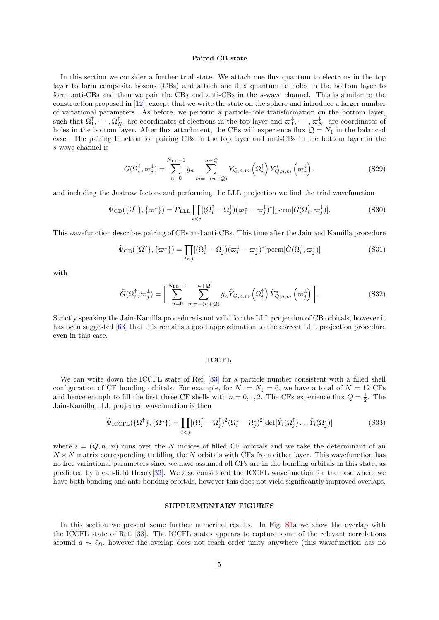### Paired CB state

In this section we consider a further trial state. We attach one flux quantum to electrons in the top layer to form composite bosons (CBs) and attach one flux quantum to holes in the bottom layer to form anti-CBs and then we pair the CBs and anti-CBs in the s-wave channel. This is similar to the construction proposed in [\[12\]](#page-4-21), except that we write the state on the sphere and introduce a larger number of variational parameters. As before, we perform a particle-hole transformation on the bottom layer, such that  $\Omega_1^{\uparrow}, \cdots, \Omega_{N_1}^{\uparrow}$  are coordinates of electrons in the top layer and  $\varpi_1^{\downarrow}, \cdots, \varpi_{N_1}^{\downarrow}$  are coordinates of holes in the bottom layer. After flux attachment, the CBs will experience flux  $\mathcal{Q} = N_1$  in the balanced case. The pairing function for pairing CBs in the top layer and anti-CBs in the bottom layer in the s-wave channel is

$$
G(\Omega_i^{\uparrow}, \varpi_j^{\downarrow}) = \sum_{n=0}^{N_{\text{LL}}-1} g_n \sum_{m=-(n+Q)}^{n+Q} Y_{\mathcal{Q},n,m} \left(\Omega_i^{\uparrow}\right) Y_{\mathcal{Q},n,m}^* \left(\varpi_j^{\downarrow}\right). \tag{S29}
$$

and including the Jastrow factors and performing the LLL projection we find the trial wavefunction

$$
\Psi_{\rm CB}(\{\Omega^{\uparrow}\}, \{\varpi^{\downarrow}\}) = \mathcal{P}_{\rm LLL} \prod_{i < j} [(\Omega_i^{\uparrow} - \Omega_j^{\uparrow})(\varpi_i^{\downarrow} - \varpi_j^{\downarrow})^*] \text{perm}[G(\Omega_i^{\uparrow}, \varpi_j^{\downarrow})]. \tag{S30}
$$

This wavefunction describes pairing of CBs and anti-CBs. This time after the Jain and Kamilla procedure

$$
\tilde{\Psi}_{\text{CB}}(\{\Omega^{\uparrow}\}, \{\varpi^{\downarrow}\}) = \prod_{i < j} [(\Omega_i^{\uparrow} - \Omega_j^{\uparrow})(\varpi_i^{\downarrow} - \varpi_j^{\downarrow})^*] \text{perm}[\tilde{G}(\Omega_i^{\uparrow}, \varpi_j^{\downarrow})] \tag{S31}
$$

with

$$
\tilde{G}(\Omega_i^{\uparrow}, \varpi_j^{\downarrow}) = \left[ \sum_{n=0}^{N_{\text{LL}}-1} \sum_{m=-(n+Q)}^{n+Q} g_n \tilde{Y}_{\mathcal{Q},n,m} \left( \Omega_i^{\uparrow} \right) \tilde{Y}_{\mathcal{Q},n,m}^* \left( \varpi_j^{\downarrow} \right) \right]. \tag{S32}
$$

Strictly speaking the Jain-Kamilla procedure is not valid for the LLL projection of CB orbitals, however it has been suggested [\[63\]](#page-5-16) that this remains a good approximation to the correct LLL projection procedure even in this case.

# **ICCFL**

We can write down the ICCFL state of Ref. [\[33\]](#page-4-20) for a particle number consistent with a filled shell configuration of CF bonding orbitals. For example, for  $N_{\uparrow} = N_{\downarrow} = 6$ , we have a total of  $N = 12 \text{ CFs}$ and hence enough to fill the first three CF shells with  $n = 0, 1, 2$ . The CFs experience flux  $Q = \frac{1}{2}$ . The Jain-Kamilla LLL projected wavefunction is then

$$
\tilde{\Psi}_{\text{ICCFL}}(\{\Omega^{\dagger}\}, \{\Omega^{\downarrow}\}) = \prod_{i < j} [(\Omega_i^{\uparrow} - \Omega_j^{\uparrow})^2 (\Omega_i^{\downarrow} - \Omega_j^{\downarrow})^2] \det[\tilde{Y}_i(\Omega_j^{\uparrow}) \dots \tilde{Y}_i(\Omega_j^{\downarrow})] \tag{S33}
$$

where  $i = (Q, n, m)$  runs over the N indices of filled CF orbitals and we take the determinant of an  $N \times N$  matrix corresponding to filling the N orbitals with CFs from either layer. This wavefunction has no free variational parameters since we have assumed all CFs are in the bonding orbitals in this state, as predicted by mean-field theory[\[33\]](#page-4-20). We also considered the ICCFL wavefunction for the case where we have both bonding and anti-bonding orbitals, however this does not yield significantly improved overlaps.

# SUPPLEMENTARY FIGURES

In this section we present some further numerical results. In Fig. [S1a](#page-2-0) we show the overlap with the ICCFL state of Ref. [\[33\]](#page-4-20). The ICCFL states appears to capture some of the relevant correlations around  $d \sim \ell_B$ , however the overlap does not reach order unity anywhere (this wavefunction has no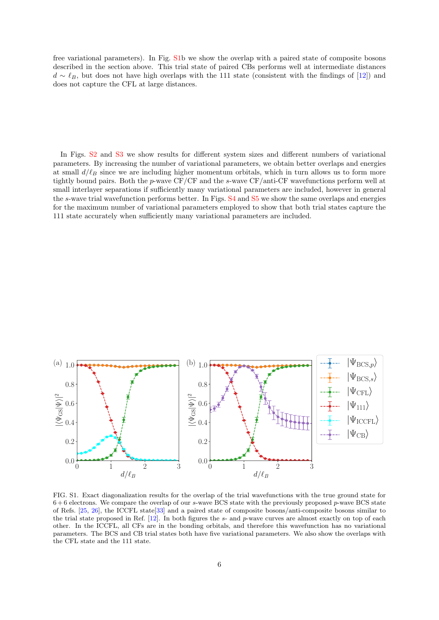free variational parameters). In Fig. [S1b](#page-2-0) we show the overlap with a paired state of composite bosons described in the section above. This trial state of paired CBs performs well at intermediate distances  $d \sim \ell_B$ , but does not have high overlaps with the 111 state (consistent with the findings of [\[12\]](#page-4-21)) and does not capture the CFL at large distances.

In Figs. [S2](#page-3-0) and [S3](#page-13-0) we show results for different system sizes and different numbers of variational parameters. By increasing the number of variational parameters, we obtain better overlaps and energies at small  $d/\ell_B$  since we are including higher momentum orbitals, which in turn allows us to form more tightly bound pairs. Both the p-wave CF/CF and the s-wave CF/anti-CF wavefunctions perform well at small interlayer separations if sufficiently many variational parameters are included, however in general the s-wave trial wavefunction performs better. In Figs. [S4](#page-14-0) and [S5](#page-14-1) we show the same overlaps and energies for the maximum number of variational parameters employed to show that both trial states capture the 111 state accurately when sufficiently many variational parameters are included.



FIG. S1. Exact diagonalization results for the overlap of the trial wavefunctions with the true ground state for  $6 + 6$  electrons. We compare the overlap of our s-wave BCS state with the previously proposed p-wave BCS state of Refs. [\[25,](#page-4-12) [26\]](#page-4-11), the ICCFL state[\[33\]](#page-4-20) and a paired state of composite bosons/anti-composite bosons similar to the trial state proposed in Ref.  $[12]$ . In both figures the s- and p-wave curves are almost exactly on top of each other. In the ICCFL, all CFs are in the bonding orbitals, and therefore this wavefunction has no variational parameters. The BCS and CB trial states both have five variational parameters. We also show the overlaps with the CFL state and the 111 state.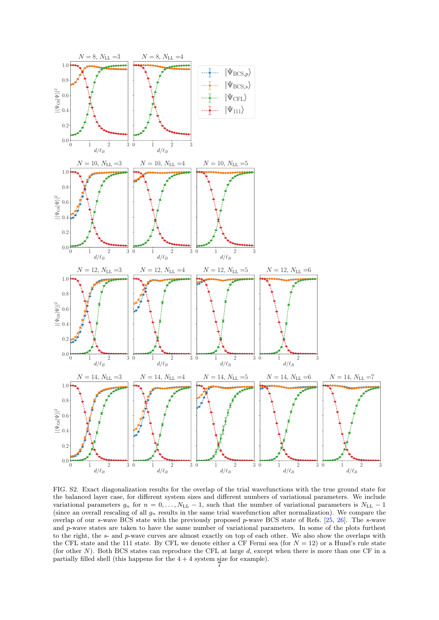

FIG. S2. Exact diagonalization results for the overlap of the trial wavefunctions with the true ground state for the balanced layer case, for different system sizes and different numbers of variational parameters. We include variational parameters  $g_n$  for  $n = 0, \ldots, N_{\text{LL}} - 1$ , such that the number of variational parameters is  $N_{\text{LL}} - 1$ (since an overall rescaling of all  $g_n$  results in the same trial wavefunction after normalization). We compare the overlap of our s-wave BCS state with the previously proposed  $p$ -wave BCS state of Refs. [\[25,](#page-4-12) [26\]](#page-4-11). The s-wave and p-wave states are taken to have the same number of variational parameters. In some of the plots furthest to the right, the s- and p-wave curves are almost exactly on top of each other. We also show the overlaps with the CFL state and the 111 state. By CFL we denote either a CF Fermi sea (for  $N = 12$ ) or a Hund's rule state (for other N). Both BCS states can reproduce the CFL at large d, except when there is more than one CF in a partially filled shell (this happens for the  $4 + 4$  system size for example).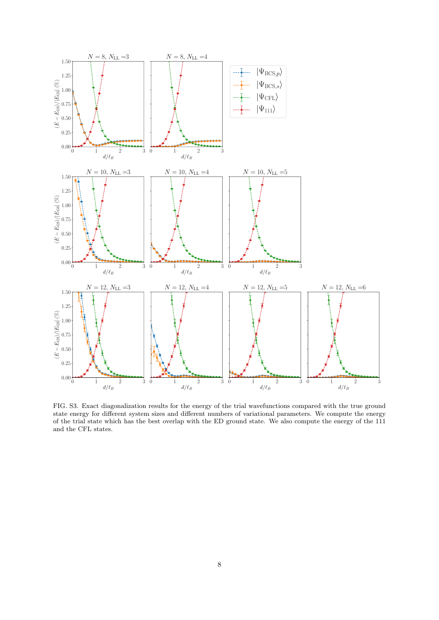

<span id="page-13-0"></span>FIG. S3. Exact diagonalization results for the energy of the trial wavefunctions compared with the true ground state energy for different system sizes and different numbers of variational parameters. We compute the energy of the trial state which has the best overlap with the ED ground state. We also compute the energy of the 111 and the CFL states.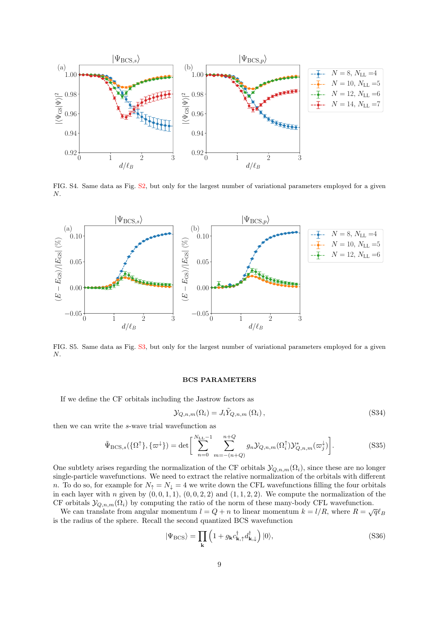

<span id="page-14-0"></span>FIG. S4. Same data as Fig. [S2,](#page-3-0) but only for the largest number of variational parameters employed for a given N.



<span id="page-14-1"></span>FIG. S5. Same data as Fig. [S3,](#page-13-0) but only for the largest number of variational parameters employed for a given N.

# BCS PARAMETERS

If we define the CF orbitals including the Jastrow factors as

$$
\mathcal{Y}_{Q,n,m}(\Omega_i) = J_i \tilde{Y}_{Q,n,m}(\Omega_i), \qquad (S34)
$$

then we can write the s-wave trial wavefunction as

$$
\tilde{\Psi}_{\text{BCS},s}(\{\Omega^{\uparrow}\},\{\varpi^{\downarrow}\}) = \det \left[ \sum_{n=0}^{N_{\text{LL}}-1} \sum_{m=-(n+Q)}^{n+Q} g_n \mathcal{Y}_{Q,n,m}(\Omega_i^{\uparrow}) \mathcal{Y}_{Q,n,m}^* (\varpi_j^{\downarrow}) \right].
$$
\n(S35)

One subtlety arises regarding the normalization of the CF orbitals  $\mathcal{Y}_{Q,n,m}(\Omega_i)$ , since these are no longer single-particle wavefunctions. We need to extract the relative normalization of the orbitals with different n. To do so, for example for  $N_{\uparrow} = N_{\downarrow} = 4$  we write down the CFL wavefunctions filling the four orbitals in each layer with n given by  $(0, 0, 1, 1)$ ,  $(0, 0, 2, 2)$  and  $(1, 1, 2, 2)$ . We compute the normalization of the CF orbitals  $\mathcal{Y}_{Q,n,m}(\Omega_i)$  by computing the ratio of the norm of these many-body CFL wavefunction.

We can translate from angular momentum  $l = Q + n$  to linear momentum  $k = l/R$ , where  $R = \sqrt{q} \ell_B$ is the radius of the sphere. Recall the second quantized BCS wavefunction

<span id="page-14-2"></span>
$$
|\Psi_{\rm BCS}\rangle = \prod_{\mathbf{k}} \left(1 + g_{\mathbf{k}} c_{\mathbf{k},\uparrow}^{\dagger} d_{\mathbf{k},\downarrow}^{\dagger}\right) |0\rangle,\tag{S36}
$$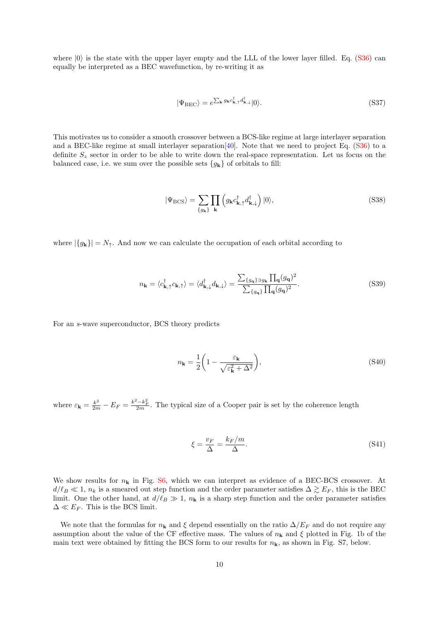where  $|0\rangle$  is the state with the upper layer empty and the LLL of the lower layer filled. Eq. [\(S36\)](#page-14-2) can equally be interpreted as a BEC wavefunction, by re-writing it as

$$
|\Psi_{\rm BEC}\rangle = e^{\sum_{\mathbf{k}} g_{\mathbf{k}}c_{\mathbf{k},\uparrow}^{\dagger}d_{\mathbf{k},\downarrow}^{\dagger}}|0\rangle.
$$
 (S37)

This motivates us to consider a smooth crossover between a BCS-like regime at large interlayer separation and a BEC-like regime at small interlayer separation  $|40|$ . Note that we need to project Eq. [\(S36\)](#page-14-2) to a definite  $S_z$  sector in order to be able to write down the real-space representation. Let us focus on the balanced case, i.e. we sum over the possible sets  ${g_{\bf k}}$  of orbitals to fill:

$$
|\Psi_{\rm BCS}\rangle = \sum_{\{g_{\mathbf{k}}\}} \prod_{\mathbf{k}} \left( g_{\mathbf{k}} c_{\mathbf{k},\uparrow}^{\dagger} d_{\mathbf{k},\downarrow}^{\dagger} \right) |0\rangle,\tag{S38}
$$

where  $|\{g_k\}| = N_{\uparrow}$ . And now we can calculate the occupation of each orbital according to

$$
n_{\mathbf{k}} = \langle c_{\mathbf{k},\uparrow}^{\dagger} c_{\mathbf{k},\uparrow} \rangle = \langle d_{\mathbf{k},\downarrow}^{\dagger} d_{\mathbf{k},\downarrow} \rangle = \frac{\sum_{\{g_{\mathbf{q}}\} \ni g_{\mathbf{k}} \prod_{\mathbf{q}} (g_{\mathbf{q}})^2}}{\sum_{\{g_{\mathbf{q}}\}} \prod_{\mathbf{q}} (g_{\mathbf{q}})^2}.
$$
 (S39)

For an s-wave superconductor, BCS theory predicts

<span id="page-15-0"></span>
$$
n_{\mathbf{k}} = \frac{1}{2} \left( 1 - \frac{\varepsilon_{\mathbf{k}}}{\sqrt{\varepsilon_{\mathbf{k}}^2 + \Delta^2}} \right),\tag{S40}
$$

where  $\varepsilon_{\mathbf{k}} = \frac{k^2}{2m} - E_F = \frac{k^2 - k_F^2}{2m}$ . The typical size of a Cooper pair is set by the coherence length

$$
\xi = \frac{v_F}{\Delta} = \frac{k_F/m}{\Delta}.\tag{S41}
$$

We show results for  $n_k$  in Fig. [S6,](#page-16-0) which we can interpret as evidence of a BEC-BCS crossover. At  $d/\ell_B \ll 1$ ,  $n_k$  is a smeared out step function and the order parameter satisfies  $\Delta \gtrsim E_F$ , this is the BEC limit. One the other hand, at  $d/\ell_B \gg 1$ ,  $n_k$  is a sharp step function and the order parameter satisfies  $\Delta \ll E_F$ . This is the BCS limit.

We note that the formulas for  $n_k$  and  $\xi$  depend essentially on the ratio  $\Delta/E_F$  and do not require any assumption about the value of the CF effective mass. The values of  $n<sub>k</sub>$  and  $\xi$  plotted in Fig. 1b of the main text were obtained by fitting the BCS form to our results for  $n<sub>k</sub>$ , as shown in Fig. S7, below.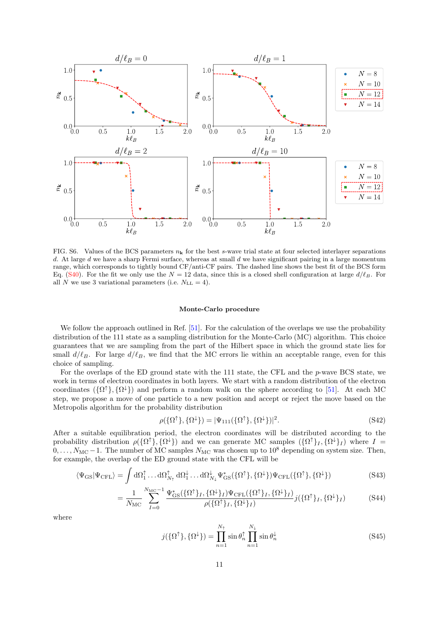

<span id="page-16-0"></span>FIG. S6. Values of the BCS parameters  $n_k$  for the best s-wave trial state at four selected interlayer separations d. At large d we have a sharp Fermi surface, whereas at small d we have significant pairing in a large momentum range, which corresponds to tightly bound CF/anti-CF pairs. The dashed line shows the best fit of the BCS form Eq. [\(S40\)](#page-15-0). For the fit we only use the  $N = 12$  data, since this is a closed shell configuration at large  $d/\ell_B$ . For all N we use 3 variational parameters (i.e.  $N_{\text{LL}} = 4$ ).

### Monte-Carlo procedure

We follow the approach outlined in Ref. [\[51\]](#page-5-5). For the calculation of the overlaps we use the probability distribution of the 111 state as a sampling distribution for the Monte-Carlo (MC) algorithm. This choice guarantees that we are sampling from the part of the Hilbert space in which the ground state lies for small  $d/\ell_B$ . For large  $d/\ell_B$ , we find that the MC errors lie within an acceptable range, even for this choice of sampling.

For the overlaps of the ED ground state with the 111 state, the CFL and the p-wave BCS state, we work in terms of electron coordinates in both layers. We start with a random distribution of the electron coordinates  $(\{\Omega^{\dagger}\}, {\{\Omega^{\downarrow}\}})$  and perform a random walk on the sphere according to [\[51\]](#page-5-5). At each MC step, we propose a move of one particle to a new position and accept or reject the move based on the Metropolis algorithm for the probability distribution

$$
\rho(\{\Omega^{\uparrow}\}, \{\Omega^{\downarrow}\}) = |\Psi_{111}(\{\Omega^{\uparrow}\}, \{\Omega^{\downarrow}\})|^2. \tag{S42}
$$

After a suitable equilibration period, the electron coordinates will be distributed according to the probability distribution  $\rho(\{\Omega^{\dagger}\}, {\{\Omega}^{\downarrow}\})$  and we can generate MC samples  $({\{\Omega^{\dagger}\}_I, {\{\Omega}^{\downarrow}\}_I})$  where  $I =$  $0, \ldots, N_{\text{MC}}-1$ . The number of MC samples  $N_{\text{MC}}$  was chosen up to  $10^8$  depending on system size. Then, for example, the overlap of the ED ground state with the CFL will be

$$
\langle \Psi_{\rm GS} | \Psi_{\rm CFL} \rangle = \int d\Omega_1^{\uparrow} \dots d\Omega_{N_{\uparrow}}^{\uparrow} d\Omega_1^{\downarrow} \dots d\Omega_{N_{\downarrow}}^{\downarrow} \Psi_{\rm GS}^{*}(\{\Omega^{\uparrow}\}, \{\Omega^{\downarrow}\}) \Psi_{\rm CFL}(\{\Omega^{\uparrow}\}, \{\Omega^{\downarrow}\})
$$
\n(S43)

$$
= \frac{1}{N_{\rm MC}} \sum_{I=0}^{N_{\rm MC}-1} \frac{\Psi_{\rm GS}^*(\{\Omega^\uparrow\}_I, \{\Omega^\downarrow\}_I) \Psi_{\rm CFL}(\{\Omega^\uparrow\}_I, \{\Omega^\downarrow\}_I)}{\rho(\{\Omega^\uparrow\}_I, \{\Omega^\downarrow\}_I)} j(\{\Omega^\uparrow\}_I, \{\Omega^\downarrow\}_I) \tag{S44}
$$

where

$$
j(\{\Omega^{\uparrow}\}, \{\Omega^{\downarrow}\}) = \prod_{n=1}^{N_{\uparrow}} \sin \theta_n^{\uparrow} \prod_{n=1}^{N_{\downarrow}} \sin \theta_n^{\downarrow}
$$
 (S45)